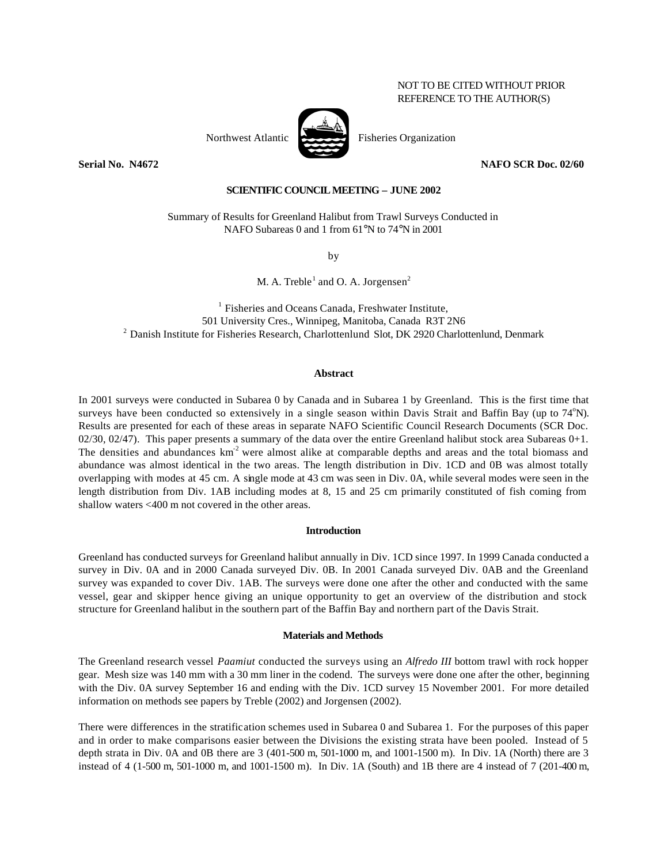# NOT TO BE CITED WITHOUT PRIOR REFERENCE TO THE AUTHOR(S)

Northwest Atlantic  $\overrightarrow{P}$  Fisheries Organization

**Serial No. N4672 NAFO SCR Doc. 02/60**

## **SCIENTIFIC COUNCIL MEETING – JUNE 2002**

Summary of Results for Greenland Halibut from Trawl Surveys Conducted in NAFO Subareas 0 and 1 from 61°N to 74°N in 2001

by

M. A. Treble<sup>1</sup> and O. A. Jorgensen<sup>2</sup>

 $1$  Fisheries and Oceans Canada, Freshwater Institute, 501 University Cres., Winnipeg, Manitoba, Canada R3T 2N6 <sup>2</sup> Danish Institute for Fisheries Research, Charlottenlund Slot, DK 2920 Charlottenlund, Denmark

### **Abstract**

In 2001 surveys were conducted in Subarea 0 by Canada and in Subarea 1 by Greenland. This is the first time that surveys have been conducted so extensively in a single season within Davis Strait and Baffin Bay (up to  $74^{\circ}N$ ). Results are presented for each of these areas in separate NAFO Scientific Council Research Documents (SCR Doc.  $02/30$ ,  $02/47$ ). This paper presents a summary of the data over the entire Greenland halibut stock area Subareas  $0+1$ . The densities and abundances  $km^2$  were almost alike at comparable depths and areas and the total biomass and abundance was almost identical in the two areas. The length distribution in Div. 1CD and 0B was almost totally overlapping with modes at 45 cm. A single mode at 43 cm was seen in Div. 0A, while several modes were seen in the length distribution from Div. 1AB including modes at 8, 15 and 25 cm primarily constituted of fish coming from shallow waters <400 m not covered in the other areas.

### **Introduction**

Greenland has conducted surveys for Greenland halibut annually in Div. 1CD since 1997. In 1999 Canada conducted a survey in Div. 0A and in 2000 Canada surveyed Div. 0B. In 2001 Canada surveyed Div. 0AB and the Greenland survey was expanded to cover Div. 1AB. The surveys were done one after the other and conducted with the same vessel, gear and skipper hence giving an unique opportunity to get an overview of the distribution and stock structure for Greenland halibut in the southern part of the Baffin Bay and northern part of the Davis Strait.

## **Materials and Methods**

The Greenland research vessel *Paamiut* conducted the surveys using an *Alfredo III* bottom trawl with rock hopper gear. Mesh size was 140 mm with a 30 mm liner in the codend. The surveys were done one after the other, beginning with the Div. 0A survey September 16 and ending with the Div. 1CD survey 15 November 2001. For more detailed information on methods see papers by Treble (2002) and Jorgensen (2002).

There were differences in the stratification schemes used in Subarea 0 and Subarea 1. For the purposes of this paper and in order to make comparisons easier between the Divisions the existing strata have been pooled. Instead of 5 depth strata in Div. 0A and 0B there are 3 (401-500 m, 501-1000 m, and 1001-1500 m). In Div. 1A (North) there are 3 instead of 4 (1-500 m, 501-1000 m, and 1001-1500 m). In Div. 1A (South) and 1B there are 4 instead of 7 (201-400 m,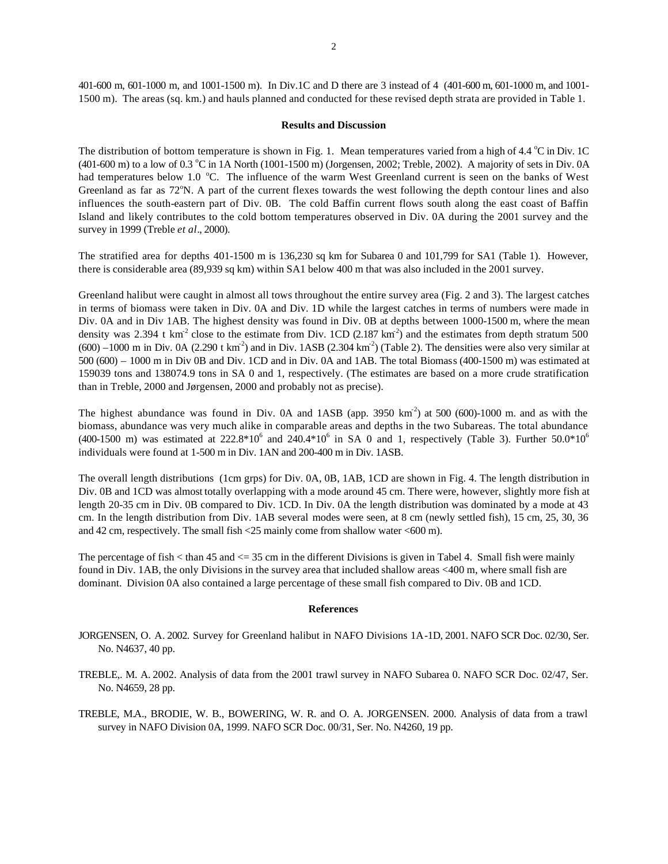401-600 m, 601-1000 m, and 1001-1500 m). In Div.1C and D there are 3 instead of 4 (401-600 m, 601-1000 m, and 1001- 1500 m). The areas (sq. km.) and hauls planned and conducted for these revised depth strata are provided in Table 1.

## **Results and Discussion**

The distribution of bottom temperature is shown in Fig. 1. Mean temperatures varied from a high of 4.4  $\degree$ C in Div. 1C  $(401-600 \text{ m})$  to a low of 0.3 °C in 1A North  $(1001-1500 \text{ m})$  (Jorgensen, 2002; Treble, 2002). A majority of sets in Div. 0A had temperatures below 1.0 °C. The influence of the warm West Greenland current is seen on the banks of West Greenland as far as 72<sup>o</sup>N. A part of the current flexes towards the west following the depth contour lines and also influences the south-eastern part of Div. 0B. The cold Baffin current flows south along the east coast of Baffin Island and likely contributes to the cold bottom temperatures observed in Div. 0A during the 2001 survey and the survey in 1999 (Treble *et al*., 2000).

The stratified area for depths 401-1500 m is 136,230 sq km for Subarea 0 and 101,799 for SA1 (Table 1). However, there is considerable area (89,939 sq km) within SA1 below 400 m that was also included in the 2001 survey.

Greenland halibut were caught in almost all tows throughout the entire survey area (Fig. 2 and 3). The largest catches in terms of biomass were taken in Div. 0A and Div. 1D while the largest catches in terms of numbers were made in Div. 0A and in Div 1AB. The highest density was found in Div. 0B at depths between 1000-1500 m, where the mean density was 2.394 t  $km^2$  close to the estimate from Div. 1CD (2.187  $km^2$ ) and the estimates from depth stratum 500  $(600) -1000$  m in Div. 0A  $(2.290$  t km<sup>2</sup>) and in Div. 1ASB  $(2.304 \text{ km}^2)$  (Table 2). The densities were also very similar at 500 (600) – 1000 m in Div 0B and Div. 1CD and in Div. 0A and 1AB. The total Biomass (400-1500 m) was estimated at 159039 tons and 138074.9 tons in SA 0 and 1, respectively. (The estimates are based on a more crude stratification than in Treble, 2000 and Jørgensen, 2000 and probably not as precise).

The highest abundance was found in Div. 0A and  $1ASB$  (app. 3950 km<sup>-2</sup>) at 500 (600)-1000 m. and as with the biomass, abundance was very much alike in comparable areas and depths in the two Subareas. The total abundance (400-1500 m) was estimated at  $222.8*10^6$  and  $240.4*10^6$  in SA 0 and 1, respectively (Table 3). Further  $50.0*10^6$ individuals were found at 1-500 m in Div. 1AN and 200-400 m in Div. 1ASB.

The overall length distributions (1cm grps) for Div. 0A, 0B, 1AB, 1CD are shown in Fig. 4. The length distribution in Div. 0B and 1CD was almost totally overlapping with a mode around 45 cm. There were, however, slightly more fish at length 20-35 cm in Div. 0B compared to Div. 1CD. In Div. 0A the length distribution was dominated by a mode at 43 cm. In the length distribution from Div. 1AB several modes were seen, at 8 cm (newly settled fish), 15 cm, 25, 30, 36 and 42 cm, respectively. The small fish <25 mainly come from shallow water <600 m).

The percentage of fish  $\lt$  than 45 and  $\lt$  = 35 cm in the different Divisions is given in Tabel 4. Small fish were mainly found in Div. 1AB, the only Divisions in the survey area that included shallow areas <400 m, where small fish are dominant. Division 0A also contained a large percentage of these small fish compared to Div. 0B and 1CD.

#### **References**

- JORGENSEN, O. A. 2002. Survey for Greenland halibut in NAFO Divisions 1A-1D, 2001. NAFO SCR Doc. 02/30, Ser. No. N4637, 40 pp.
- TREBLE,. M. A. 2002. Analysis of data from the 2001 trawl survey in NAFO Subarea 0. NAFO SCR Doc. 02/47, Ser. No. N4659, 28 pp.
- TREBLE, M.A., BRODIE, W. B., BOWERING, W. R. and O. A. JORGENSEN. 2000. Analysis of data from a trawl survey in NAFO Division 0A, 1999. NAFO SCR Doc. 00/31, Ser. No. N4260, 19 pp.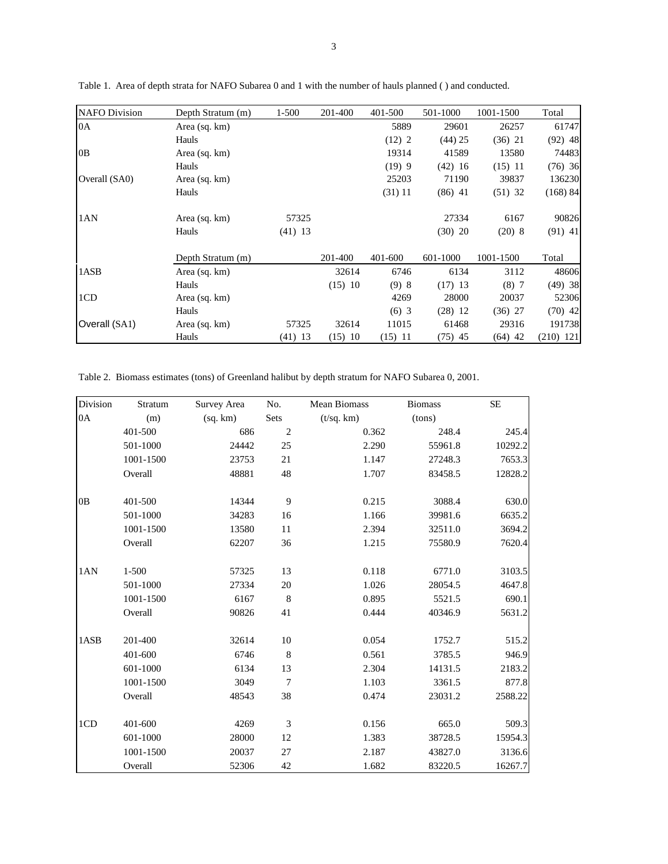| <b>NAFO</b> Division | Depth Stratum (m) | 1-500     | 201-400   | 401-500  | 501-1000  | 1001-1500 | Total       |
|----------------------|-------------------|-----------|-----------|----------|-----------|-----------|-------------|
| 0A                   | Area (sq. km)     |           |           | 5889     | 29601     | 26257     | 61747       |
|                      | Hauls             |           |           | (12) 2   | $(44)$ 25 | $(36)$ 21 | $(92)$ 48   |
| OB                   | Area (sq. km)     |           |           | 19314    | 41589     | 13580     | 74483       |
|                      | Hauls             |           |           | $(19)$ 9 | $(42)$ 16 | $(15)$ 11 | $(76)$ 36   |
| Overall (SA0)        | Area (sq. km)     |           |           | 25203    | 71190     | 39837     | 136230      |
|                      | Hauls             |           |           | (31) 11  | $(86)$ 41 | $(51)$ 32 | (168) 84    |
| 1AN                  | Area (sq. km)     | 57325     |           |          | 27334     | 6167      | 90826       |
|                      | Hauls             | $(41)$ 13 |           |          | $(30)$ 20 | $(20)$ 8  | $(91)$ 41   |
|                      | Depth Stratum (m) |           | 201-400   | 401-600  | 601-1000  | 1001-1500 | Total       |
| 1ASB                 | Area (sq. km)     |           | 32614     | 6746     | 6134      | 3112      | 48606       |
|                      | Hauls             |           | $(15)$ 10 | (9)8     | $(17)$ 13 | (8)7      | $(49)$ 38   |
| 1CD                  | Area (sq. km)     |           |           | 4269     | 28000     | 20037     | 52306       |
|                      | Hauls             |           |           | $(6)$ 3  | $(28)$ 12 | $(36)$ 27 | $(70)$ 42   |
| Overall (SA1)        | Area (sq. km)     | 57325     | 32614     | 11015    | 61468     | 29316     | 191738      |
|                      | Hauls             | $(41)$ 13 | $(15)$ 10 | (15) 11  | $(75)$ 45 | $(64)$ 42 | $(210)$ 121 |

Table 1. Area of depth strata for NAFO Subarea 0 and 1 with the number of hauls planned ( ) and conducted.

Table 2. Biomass estimates (tons) of Greenland halibut by depth stratum for NAFO Subarea 0, 2001.

| Division | Stratum   | Survey Area | No.            | <b>Mean Biomass</b> | <b>Biomass</b> | <b>SE</b> |
|----------|-----------|-------------|----------------|---------------------|----------------|-----------|
| 0A       | (m)       | (sq, km)    | Sets           | (t/sq. km)          | (tons)         |           |
|          | 401-500   | 686         | 2              | 0.362               | 248.4          | 245.4     |
|          | 501-1000  | 24442       | 25             | 2.290               | 55961.8        | 10292.2   |
|          | 1001-1500 | 23753       | 21             | 1.147               | 27248.3        | 7653.3    |
|          | Overall   | 48881       | 48             | 1.707               | 83458.5        | 12828.2   |
| 0B       | 401-500   | 14344       | 9              | 0.215               | 3088.4         | 630.0     |
|          | 501-1000  | 34283       | 16             | 1.166               | 39981.6        | 6635.2    |
|          | 1001-1500 | 13580       | 11             | 2.394               | 32511.0        | 3694.2    |
|          | Overall   | 62207       | 36             | 1.215               | 75580.9        | 7620.4    |
| 1AN      | $1 - 500$ | 57325       | 13             | 0.118               | 6771.0         | 3103.5    |
|          | 501-1000  | 27334       | 20             | 1.026               | 28054.5        | 4647.8    |
|          | 1001-1500 | 6167        | 8              | 0.895               | 5521.5         | 690.1     |
|          | Overall   | 90826       | 41             | 0.444               | 40346.9        | 5631.2    |
| 1ASB     | 201-400   | 32614       | 10             | 0.054               | 1752.7         | 515.2     |
|          | 401-600   | 6746        | 8              | 0.561               | 3785.5         | 946.9     |
|          | 601-1000  | 6134        | 13             | 2.304               | 14131.5        | 2183.2    |
|          | 1001-1500 | 3049        | $\overline{7}$ | 1.103               | 3361.5         | 877.8     |
|          | Overall   | 48543       | 38             | 0.474               | 23031.2        | 2588.22   |
| 1CD      | 401-600   | 4269        | 3              | 0.156               | 665.0          | 509.3     |
|          | 601-1000  | 28000       | 12             | 1.383               | 38728.5        | 15954.3   |
|          | 1001-1500 | 20037       | 27             | 2.187               | 43827.0        | 3136.6    |
|          | Overall   | 52306       | 42             | 1.682               | 83220.5        | 16267.7   |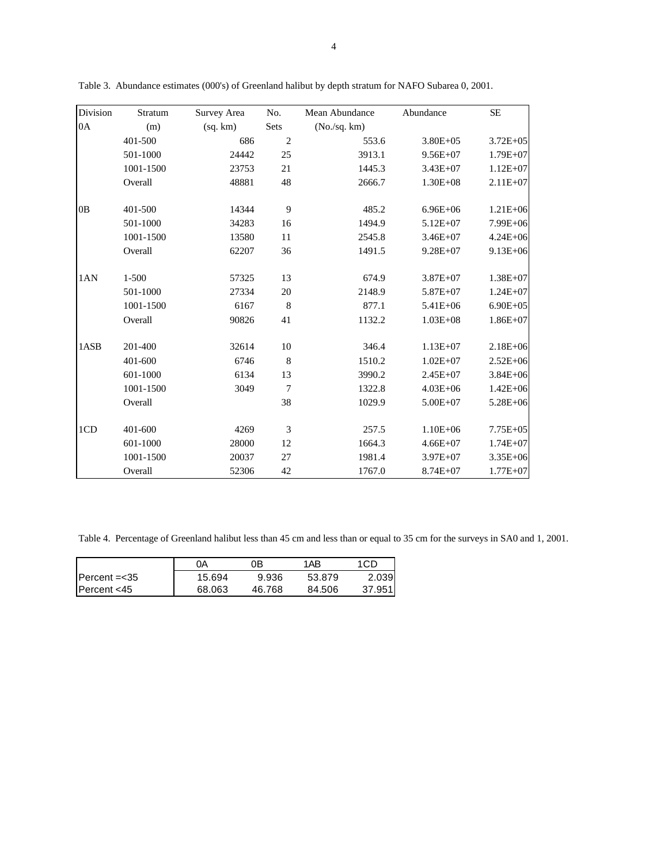| Division | Stratum   | Survey Area | No.            | Mean Abundance | Abundance     | $\rm SE$     |
|----------|-----------|-------------|----------------|----------------|---------------|--------------|
| 0A       | (m)       | (sq, km)    | Sets           | (No./sq. km)   |               |              |
|          | 401-500   | 686         | $\overline{2}$ | 553.6          | $3.80E + 0.5$ | $3.72E + 05$ |
|          | 501-1000  | 24442       | 25             | 3913.1         | $9.56E + 07$  | $1.79E + 07$ |
|          | 1001-1500 | 23753       | 21             | 1445.3         | $3.43E + 07$  | $1.12E+07$   |
|          | Overall   | 48881       | 48             | 2666.7         | $1.30E + 08$  | $2.11E + 07$ |
| 0B       | 401-500   | 14344       | 9              | 485.2          | $6.96E + 06$  | $1.21E + 06$ |
|          | 501-1000  | 34283       | 16             | 1494.9         | $5.12E + 07$  | 7.99E+06     |
|          | 1001-1500 | 13580       | 11             | 2545.8         | $3.46E + 07$  | $4.24E + 06$ |
|          | Overall   | 62207       | 36             | 1491.5         | $9.28E + 07$  | $9.13E + 06$ |
| 1AN      | $1 - 500$ | 57325       | 13             | 674.9          | $3.87E + 07$  | $1.38E + 07$ |
|          | 501-1000  | 27334       | 20             | 2148.9         | $5.87E + 07$  | $1.24E + 07$ |
|          | 1001-1500 | 6167        | 8              | 877.1          | $5.41E + 06$  | $6.90E + 05$ |
|          | Overall   | 90826       | 41             | 1132.2         | $1.03E + 08$  | $1.86E + 07$ |
| 1ASB     | 201-400   | 32614       | 10             | 346.4          | $1.13E+07$    | $2.18E + 06$ |
|          | 401-600   | 6746        | 8              | 1510.2         | $1.02E + 07$  | $2.52E + 06$ |
|          | 601-1000  | 6134        | 13             | 3990.2         | $2.45E+07$    | $3.84E + 06$ |
|          | 1001-1500 | 3049        | $\overline{7}$ | 1322.8         | $4.03E + 06$  | $1.42E + 06$ |
|          | Overall   |             | 38             | 1029.9         | $5.00E + 07$  | $5.28E + 06$ |
| 1CD      | 401-600   | 4269        | 3              | 257.5          | $1.10E + 06$  | $7.75E + 05$ |
|          | 601-1000  | 28000       | 12             | 1664.3         | $4.66E + 07$  | $1.74E + 07$ |
|          | 1001-1500 | 20037       | 27             | 1981.4         | $3.97E + 07$  | 3.35E+06     |
|          | Overall   | 52306       | 42             | 1767.0         | $8.74E + 07$  | $1.77E+07$   |

Table 3. Abundance estimates (000's) of Greenland halibut by depth stratum for NAFO Subarea 0, 2001.

Table 4. Percentage of Greenland halibut less than 45 cm and less than or equal to 35 cm for the surveys in SA0 and 1, 2001.

|              | ŋА     | 0Β     | 1AB    | 1CD    |
|--------------|--------|--------|--------|--------|
| Percent =<35 | 15.694 | 9.936  | 53.879 | 2.039  |
| Percent <45  | 68.063 | 46.768 | 84.506 | 37.951 |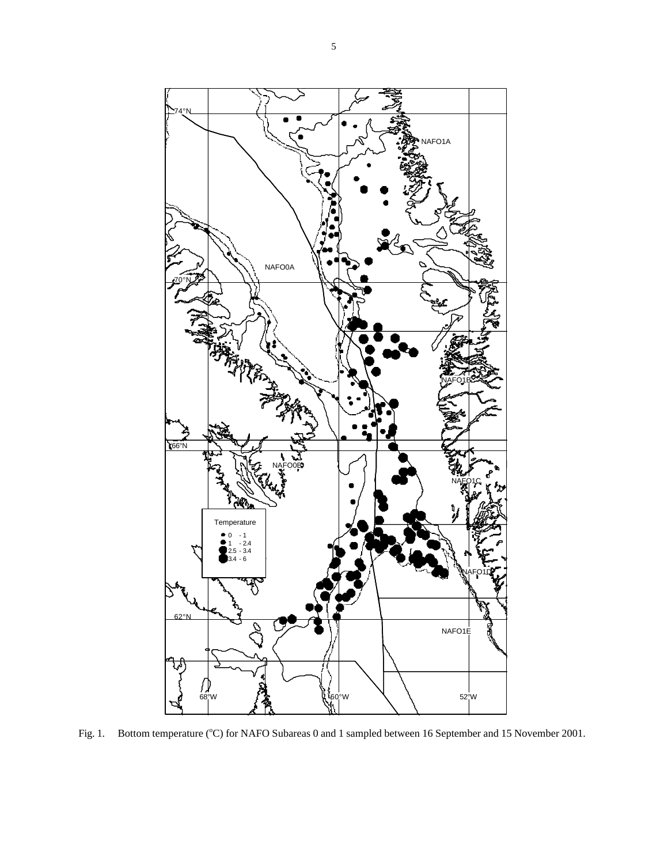

Fig. 1. Bottom temperature (°C) for NAFO Subareas 0 and 1 sampled between 16 September and 15 November 2001.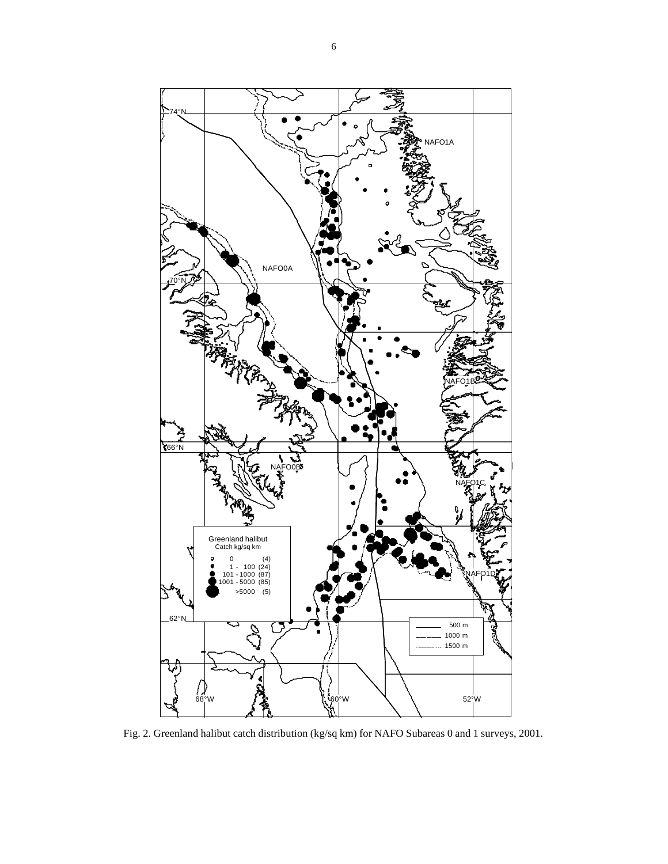

Fig. 2. Greenland halibut catch distribution (kg/sq km) for NAFO Subareas 0 and 1 surveys, 2001.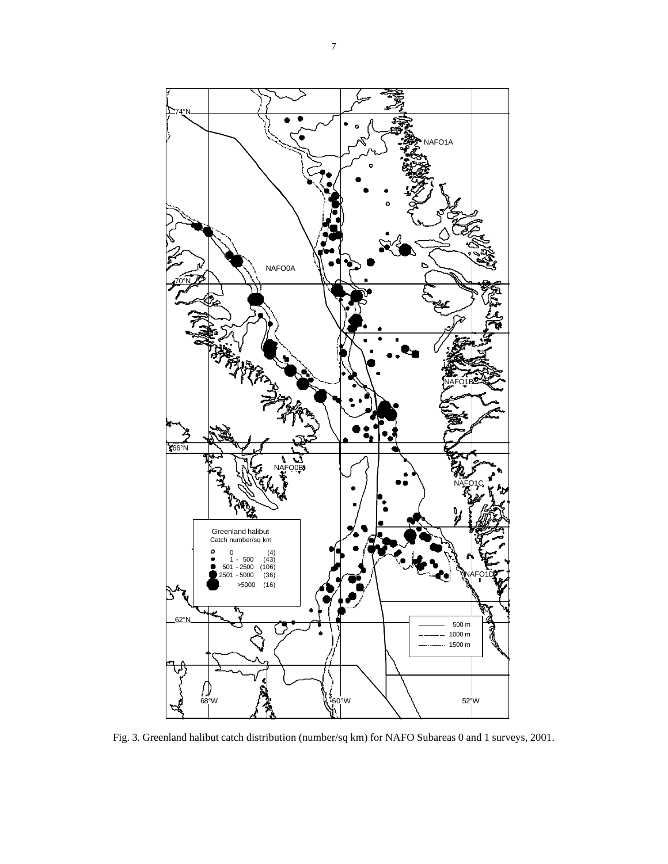

Fig. 3. Greenland halibut catch distribution (number/sq km) for NAFO Subareas 0 and 1 surveys, 2001.